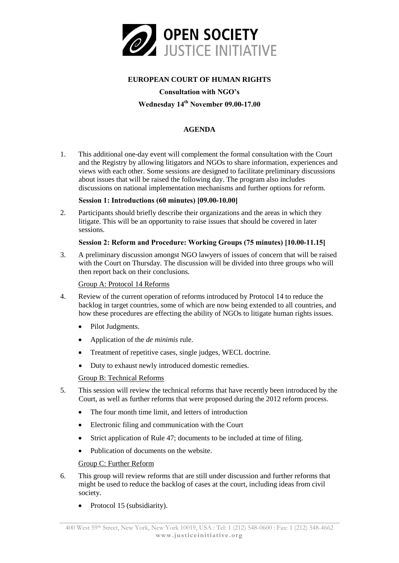

## **EUROPEAN COURT OF HUMAN RIGHTS**

#### **Consultation with NGO's**

# **Wednesday 14th November 09.00-17.00**

## **AGENDA**

1. This additional one-day event will complement the formal consultation with the Court and the Registry by allowing litigators and NGOs to share information, experiences and views with each other. Some sessions are designed to facilitate preliminary discussions about issues that will be raised the following day. The program also includes discussions on national implementation mechanisms and further options for reform.

### **Session 1: Introductions (60 minutes) [09.00-10.00]**

2. Participants should briefly describe their organizations and the areas in which they litigate. This will be an opportunity to raise issues that should be covered in later sessions.

### **Session 2: Reform and Procedure: Working Groups (75 minutes) [10.00-11.15]**

3. A preliminary discussion amongst NGO lawyers of issues of concern that will be raised with the Court on Thursday. The discussion will be divided into three groups who will then report back on their conclusions.

### Group A: Protocol 14 Reforms

- 4. Review of the current operation of reforms introduced by Protocol 14 to reduce the backlog in target countries, some of which are now being extended to all countries, and how these procedures are effecting the ability of NGOs to litigate human rights issues.
	- Pilot Judgments.
	- Application of the *de minimis* rule.
	- Treatment of repetitive cases, single judges, WECL doctrine.
	- Duty to exhaust newly introduced domestic remedies.

## Group B: Technical Reforms

- 5. This session will review the technical reforms that have recently been introduced by the Court, as well as further reforms that were proposed during the 2012 reform process.
	- The four month time limit, and letters of introduction
	- Electronic filing and communication with the Court
	- Strict application of Rule 47; documents to be included at time of filing.
	- Publication of documents on the website.

#### Group C: Further Reform

- 6. This group will review reforms that are still under discussion and further reforms that might be used to reduce the backlog of cases at the court, including ideas from civil society.
	- Protocol 15 (subsidiarity).